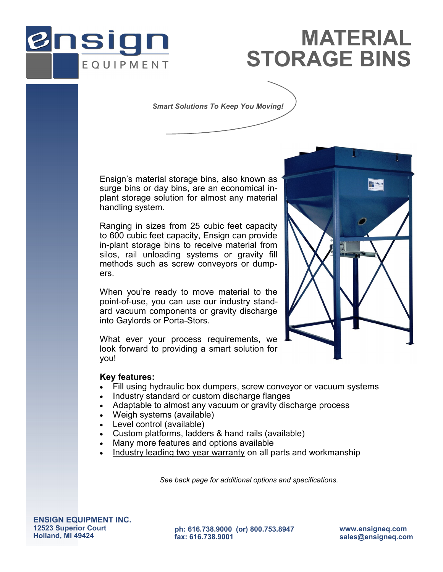

## **STORAGE BINS MATERIAL**

*Smart Solutions To Keep You Moving!*

Ensign's material storage bins, also known as surge bins or day bins, are an economical inplant storage solution for almost any material handling system.

Ranging in sizes from 25 cubic feet capacity to 600 cubic feet capacity, Ensign can provide in-plant storage bins to receive material from silos, rail unloading systems or gravity fill methods such as screw conveyors or dumpers.

When you're ready to move material to the point-of-use, you can use our industry standard vacuum components or gravity discharge into Gaylords or Porta-Stors.

What ever your process requirements, we look forward to providing a smart solution for you!



- Fill using hydraulic box dumpers, screw conveyor or vacuum systems
- Industry standard or custom discharge flanges
- Adaptable to almost any vacuum or gravity discharge process
- Weigh systems (available)
- Level control (available)
- Custom platforms, ladders & hand rails (available)
- Many more features and options available
- Industry leading two year warranty on all parts and workmanship

*See back page for additional options and specifications.*

**ENSIGN EQUIPMENT INC. 12523 Superior Court Holland, MI 49424** 

**ph: 616.738.9000 (or) 800.753.8947 fax: 616.738.9001**

**www.ensigneq.com sales@ensigneq.com**